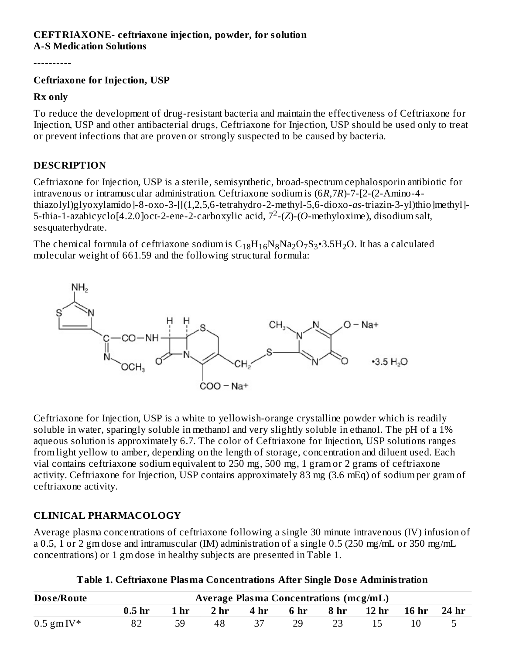### **CEFTRIAXONE- ceftriaxone injection, powder, for solution A-S Medication Solutions**

----------

#### **Ceftriaxone for Injection, USP**

#### **Rx only**

To reduce the development of drug-resistant bacteria and maintain the effectiveness of Ceftriaxone for Injection, USP and other antibacterial drugs, Ceftriaxone for Injection, USP should be used only to treat or prevent infections that are proven or strongly suspected to be caused by bacteria.

#### **DESCRIPTION**

Ceftriaxone for Injection, USP is a sterile, semisynthetic, broad-spectrum cephalosporin antibiotic for intravenous or intramuscular administration. Ceftriaxone sodium is (6*R*,7*R*)-7-[2-(2-Amino-4 thiazolyl)glyoxylamido]-8-oxo-3-[[(1,2,5,6-tetrahydro-2-methyl-5,6-dioxo-*as*-triazin-3-yl)thio]methyl]- 5-thia-1-azabicyclo[4.2.0]oct-2-ene-2-carboxylic acid, 7<sup>2</sup>-(Z)-(O-methyloxime), disodium salt, sesquaterhydrate.

The chemical formula of ceftriaxone sodium is  $\rm{C_{18}H_{16}N_8N a_2O_7S_3•3.5H_2O}$ . It has a calculated molecular weight of 661.59 and the following structural formula:



Ceftriaxone for Injection, USP is a white to yellowish-orange crystalline powder which is readily soluble in water, sparingly soluble in methanol and very slightly soluble in ethanol. The pH of a 1% aqueous solution is approximately 6.7. The color of Ceftriaxone for Injection, USP solutions ranges from light yellow to amber, depending on the length of storage, concentration and diluent used. Each vial contains ceftriaxone sodium equivalent to 250 mg, 500 mg, 1 gram or 2 grams of ceftriaxone activity. Ceftriaxone for Injection, USP contains approximately 83 mg (3.6 mEq) of sodium per gram of ceftriaxone activity.

#### **CLINICAL PHARMACOLOGY**

Average plasma concentrations of ceftriaxone following a single 30 minute intravenous (IV) infusion of a 0.5, 1 or 2 gm dose and intramuscular (IM) administration of a single 0.5 (250 mg/mL or 350 mg/mL concentrations) or 1 gm dose in healthy subjects are presented in Table 1.

| Dose/Route   | <b>Average Plasma Concentrations (mcg/mL)</b> |                 |     |  |                                                 |  |  |  |  |
|--------------|-----------------------------------------------|-----------------|-----|--|-------------------------------------------------|--|--|--|--|
|              | 0.5 <sub>hr</sub>                             | 1 <sub>hr</sub> |     |  | $2 \text{ hr}$ 4 hr 6 hr 8 hr 12 hr 16 hr 24 hr |  |  |  |  |
| $0.5$ gm IV* |                                               |                 | 48. |  | 29                                              |  |  |  |  |

|  | Table 1. Ceftriaxone Plasma Concentrations After Single Dose Administration |  |  |
|--|-----------------------------------------------------------------------------|--|--|
|  |                                                                             |  |  |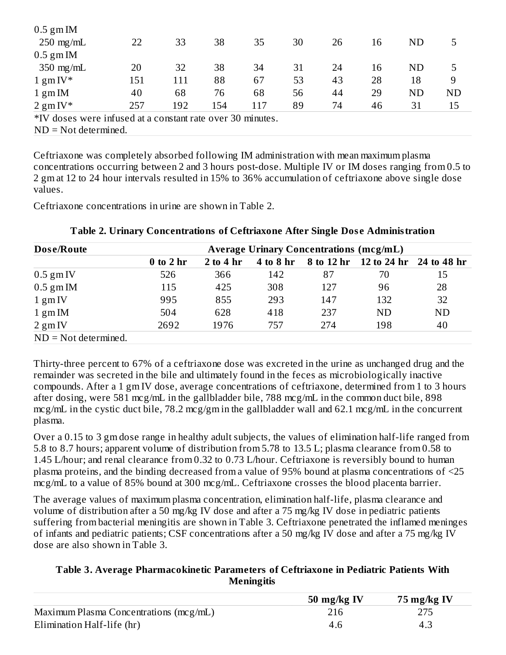| $0.5$ gm IM                                                |     |     |     |     |    |    |    |           |           |
|------------------------------------------------------------|-----|-----|-----|-----|----|----|----|-----------|-----------|
| $250 \text{ mg/mL}$                                        | 22  | 33  | 38  | 35  | 30 | 26 | 16 | <b>ND</b> | 5         |
| $0.5$ gm IM                                                |     |     |     |     |    |    |    |           |           |
| $350 \text{ mg/mL}$                                        | 20  | 32  | 38  | 34  | 31 | 24 | 16 | ND        | 5         |
| $1$ gm IV*                                                 | 151 | 111 | 88  | 67  | 53 | 43 | 28 | 18        | 9         |
| $1$ gm IM                                                  | 40  | 68  | 76  | 68  | 56 | 44 | 29 | <b>ND</b> | <b>ND</b> |
| $2$ gm IV*                                                 | 257 | 192 | 154 | 117 | 89 | 74 | 46 | 31        | 15        |
| *IV doses were infused at a constant rate over 30 minutes. |     |     |     |     |    |    |    |           |           |
| $ND = Not determined.$                                     |     |     |     |     |    |    |    |           |           |

Ceftriaxone was completely absorbed following IM administration with mean maximum plasma concentrations occurring between 2 and 3 hours post-dose. Multiple IV or IM doses ranging from 0.5 to 2 gm at 12 to 24 hour intervals resulted in 15% to 36% accumulation of ceftriaxone above single dose values.

Ceftriaxone concentrations in urine are shown in Table 2.

| Dose/Route             | <b>Average Urinary Concentrations (mcg/mL)</b> |             |               |     |                                    |           |  |  |
|------------------------|------------------------------------------------|-------------|---------------|-----|------------------------------------|-----------|--|--|
|                        | $0$ to $2$ hr                                  | $2$ to 4 hr | $4$ to $8$ hr |     | 8 to 12 hr 12 to 24 hr 24 to 48 hr |           |  |  |
| $0.5$ gm IV            | 526                                            | 366         | 142           | 87  | 70                                 | 15        |  |  |
| $0.5$ gm IM            | 115                                            | 425         | 308           | 127 | 96                                 | 28        |  |  |
| $1$ gm IV              | 995                                            | 855         | 293           | 147 | 132                                | 32        |  |  |
| $1$ gm IM              | 504                                            | 628         | 418           | 237 | <b>ND</b>                          | <b>ND</b> |  |  |
| $2$ gm IV              | 2692                                           | 1976        | 757           | 274 | 198                                | 40        |  |  |
| $ND = Not determined.$ |                                                |             |               |     |                                    |           |  |  |

**Table 2. Urinary Concentrations of Ceftriaxone After Single Dos e Administration**

Thirty-three percent to 67% of a ceftriaxone dose was excreted in the urine as unchanged drug and the remainder was secreted in the bile and ultimately found in the feces as microbiologically inactive compounds. After a 1 gm IV dose, average concentrations of ceftriaxone, determined from 1 to 3 hours after dosing, were 581 mcg/mL in the gallbladder bile, 788 mcg/mL in the common duct bile, 898 mcg/mL in the cystic duct bile, 78.2 mcg/gm in the gallbladder wall and 62.1 mcg/mL in the concurrent plasma.

Over a 0.15 to 3 gm dose range in healthy adult subjects, the values of elimination half-life ranged from 5.8 to 8.7 hours; apparent volume of distribution from 5.78 to 13.5 L; plasma clearance from 0.58 to 1.45 L/hour; and renal clearance from 0.32 to 0.73 L/hour. Ceftriaxone is reversibly bound to human plasma proteins, and the binding decreased from a value of 95% bound at plasma concentrations of <25 mcg/mL to a value of 85% bound at 300 mcg/mL. Ceftriaxone crosses the blood placenta barrier.

The average values of maximum plasma concentration, elimination half-life, plasma clearance and volume of distribution after a 50 mg/kg IV dose and after a 75 mg/kg IV dose in pediatric patients suffering from bacterial meningitis are shown in Table 3. Ceftriaxone penetrated the inflamed meninges of infants and pediatric patients; CSF concentrations after a 50 mg/kg IV dose and after a 75 mg/kg IV dose are also shown in Table 3.

### **Table 3. Average Pharmacokinetic Parameters of Ceftriaxone in Pediatric Patients With Meningitis**

|                                        | 50 mg/kg IV | 75 mg/kg IV |
|----------------------------------------|-------------|-------------|
| Maximum Plasma Concentrations (mcg/mL) | 216         | 275         |
| Elimination Half-life (hr)             | 4.6         |             |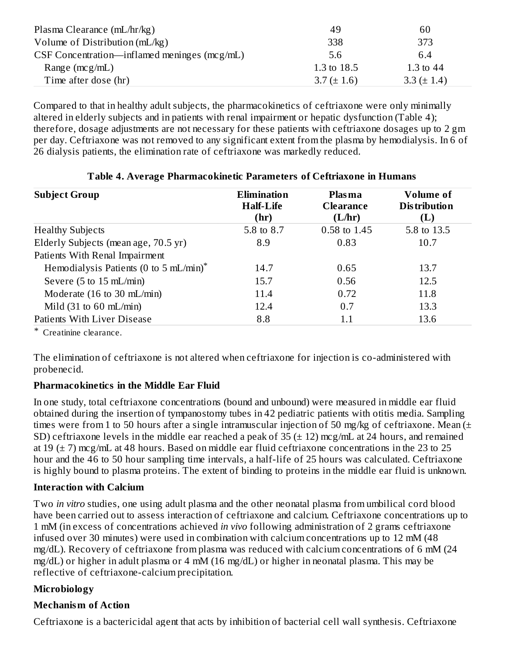| Plasma Clearance (mL/hr/kg)                  | 49              | 60              |
|----------------------------------------------|-----------------|-----------------|
| Volume of Distribution (mL/kg)               | 338             | 373             |
| CSF Concentration—inflamed meninges (mcg/mL) | 5.6             | 6.4             |
| Range $(mcg/mL)$                             | 1.3 to 18.5     | 1.3 to 44       |
| Time after dose (hr)                         | $3.7 (\pm 1.6)$ | 3.3 $(\pm 1.4)$ |

Compared to that in healthy adult subjects, the pharmacokinetics of ceftriaxone were only minimally altered in elderly subjects and in patients with renal impairment or hepatic dysfunction (Table 4); therefore, dosage adjustments are not necessary for these patients with ceftriaxone dosages up to 2 gm per day. Ceftriaxone was not removed to any significant extent from the plasma by hemodialysis. In 6 of 26 dialysis patients, the elimination rate of ceftriaxone was markedly reduced.

| <b>Subject Group</b>                       | <b>Elimination</b><br><b>Half-Life</b><br>(hr) | <b>Plasma</b><br><b>Clearance</b><br>(L/hr) | <b>Volume of</b><br>Distribution<br>(L) |
|--------------------------------------------|------------------------------------------------|---------------------------------------------|-----------------------------------------|
| <b>Healthy Subjects</b>                    | 5.8 to 8.7                                     | 0.58 to 1.45                                | 5.8 to 13.5                             |
| Elderly Subjects (mean age, 70.5 yr)       | 8.9                                            | 0.83                                        | 10.7                                    |
| Patients With Renal Impairment             |                                                |                                             |                                         |
| Hemodialysis Patients (0 to 5 mL/min)*     | 14.7                                           | 0.65                                        | 13.7                                    |
| Severe $(5 \text{ to } 15 \text{ mL/min})$ | 15.7                                           | 0.56                                        | 12.5                                    |
| Moderate (16 to 30 mL/min)                 | 11.4                                           | 0.72                                        | 11.8                                    |
| Mild $(31 \text{ to } 60 \text{ mL/min})$  | 12.4                                           | 0.7                                         | 13.3                                    |
| Patients With Liver Disease                | 8.8                                            | 1.1                                         | 13.6                                    |

#### **Table 4. Average Pharmacokinetic Parameters of Ceftriaxone in Humans**

\* Creatinine clearance.

The elimination of ceftriaxone is not altered when ceftriaxone for injection is co-administered with probenecid.

### **Pharmacokinetics in the Middle Ear Fluid**

In one study, total ceftriaxone concentrations (bound and unbound) were measured in middle ear fluid obtained during the insertion of tympanostomy tubes in 42 pediatric patients with otitis media. Sampling times were from 1 to 50 hours after a single intramuscular injection of 50 mg/kg of ceftriaxone. Mean  $(±$ SD) ceftriaxone levels in the middle ear reached a peak of  $35 (\pm 12)$  mcg/mL at 24 hours, and remained at 19  $(\pm 7)$  mcg/mL at 48 hours. Based on middle ear fluid ceftriaxone concentrations in the 23 to 25 hour and the 46 to 50 hour sampling time intervals, a half-life of 25 hours was calculated. Ceftriaxone is highly bound to plasma proteins. The extent of binding to proteins in the middle ear fluid is unknown.

#### **Interaction with Calcium**

Two *in vitro* studies, one using adult plasma and the other neonatal plasma from umbilical cord blood have been carried out to assess interaction of ceftriaxone and calcium. Ceftriaxone concentrations up to 1 mM (in excess of concentrations achieved *in vivo* following administration of 2 grams ceftriaxone infused over 30 minutes) were used in combination with calcium concentrations up to 12 mM (48 mg/dL). Recovery of ceftriaxone from plasma was reduced with calcium concentrations of 6 mM (24 mg/dL) or higher in adult plasma or 4 mM (16 mg/dL) or higher in neonatal plasma. This may be reflective of ceftriaxone-calcium precipitation.

### **Microbiology**

### **Mechanism of Action**

Ceftriaxone is a bactericidal agent that acts by inhibition of bacterial cell wall synthesis. Ceftriaxone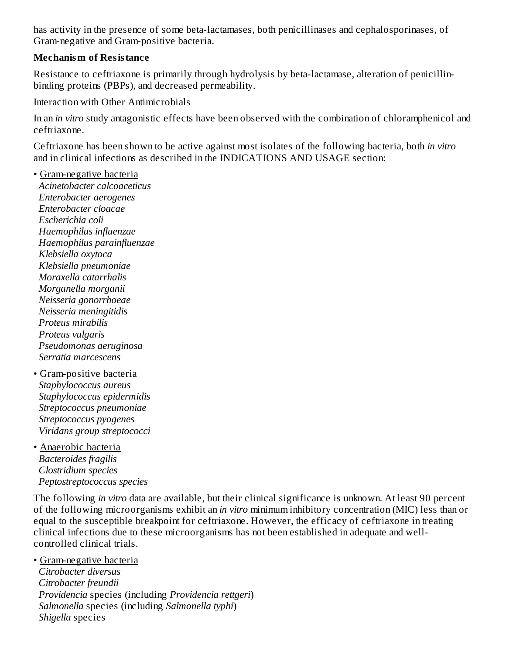has activity in the presence of some beta-lactamases, both penicillinases and cephalosporinases, of Gram-negative and Gram-positive bacteria.

#### **Mechanism of Resistance**

Resistance to ceftriaxone is primarily through hydrolysis by beta-lactamase, alteration of penicillinbinding proteins (PBPs), and decreased permeability.

Interaction with Other Antimicrobials

In an *in vitro* study antagonistic effects have been observed with the combination of chloramphenicol and ceftriaxone.

Ceftriaxone has been shown to be active against most isolates of the following bacteria, both *in vitro* and in clinical infections as described in the INDICATIONS AND USAGE section:

- Gram-negative bacteria *Acinetobacter calcoaceticus Enterobacter aerogenes Enterobacter cloacae Escherichia coli Haemophilus influenzae Haemophilus parainfluenzae Klebsiella oxytoca Klebsiella pneumoniae Moraxella catarrhalis Morganella morganii Neisseria gonorrhoeae Neisseria meningitidis Proteus mirabilis Proteus vulgaris Pseudomonas aeruginosa Serratia marcescens*
- Gram-positive bacteria *Staphylococcus aureus Staphylococcus epidermidis Streptococcus pneumoniae Streptococcus pyogenes Viridans group streptococci*
- Anaerobic bacteria *Bacteroides fragilis Clostridium species Peptostreptococcus species*

The following *in vitro* data are available, but their clinical significance is unknown. At least 90 percent of the following microorganisms exhibit an *in vitro* minimum inhibitory concentration (MIC) less than or equal to the susceptible breakpoint for ceftriaxone. However, the efficacy of ceftriaxone in treating clinical infections due to these microorganisms has not been established in adequate and wellcontrolled clinical trials.

• Gram-negative bacteria *Citrobacter diversus Citrobacter freundii Providencia* species (including *Providencia rettgeri*) *Salmonella* species (including *Salmonella typhi*) *Shigella* species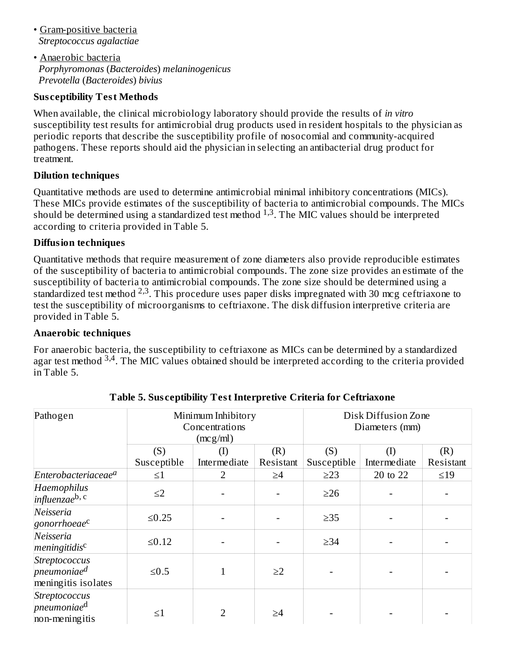- Gram-positive bacteria *Streptococcus agalactiae*
- Anaerobic bacteria *Porphyromonas* (*Bacteroides*) *melaninogenicus Prevotella* (*Bacteroides*) *bivius*

### **Sus ceptibility Test Methods**

When available, the clinical microbiology laboratory should provide the results of *in vitro* susceptibility test results for antimicrobial drug products used in resident hospitals to the physician as periodic reports that describe the susceptibility profile of nosocomial and community-acquired pathogens. These reports should aid the physician in selecting an antibacterial drug product for treatment.

#### **Dilution techniques**

Quantitative methods are used to determine antimicrobial minimal inhibitory concentrations (MICs). These MICs provide estimates of the susceptibility of bacteria to antimicrobial compounds. The MICs should be determined using a standardized test method  $1,3$ . The MIC values should be interpreted according to criteria provided in Table 5.

#### **Diffusion techniques**

Quantitative methods that require measurement of zone diameters also provide reproducible estimates of the susceptibility of bacteria to antimicrobial compounds. The zone size provides an estimate of the susceptibility of bacteria to antimicrobial compounds. The zone size should be determined using a standardized test method <sup>2,3</sup>. This procedure uses paper disks impregnated with 30 mcg ceftriaxone to test the susceptibility of microorganisms to ceftriaxone. The disk diffusion interpretive criteria are provided in Table 5.

#### **Anaerobic techniques**

For anaerobic bacteria, the susceptibility to ceftriaxone as MICs can be determined by a standardized agar test method  $3,4$ . The MIC values obtained should be interpreted according to the criteria provided in Table 5.

| Pathogen                                                        | Minimum Inhibitory<br>Concentrations<br>(mcg/ml) |                                |                  | Disk Diffusion Zone<br>Diameters (mm) |                          |                  |  |
|-----------------------------------------------------------------|--------------------------------------------------|--------------------------------|------------------|---------------------------------------|--------------------------|------------------|--|
|                                                                 | (S)<br>Susceptible                               | $(\mathrm{I})$<br>Intermediate | (R)<br>Resistant | (S)<br>Susceptible                    | $\rm(I)$<br>Intermediate | (R)<br>Resistant |  |
| Enterobacteriaceae <sup>a</sup>                                 | $\leq 1$                                         | $\overline{2}$                 | $\geq$ 4         | $\geq$ 23                             | 20 to 22                 | $\leq$ 19        |  |
| Haemophilus<br>influenzaeb, c                                   | $\leq$ 2                                         |                                |                  | $\geq$ 26                             |                          |                  |  |
| Neisseria<br>gonorrhoeae <sup>c</sup>                           | $≤0.25$                                          |                                |                  | $\geq$ 35                             |                          |                  |  |
| Neisseria<br>meningitidis <sup>c</sup>                          | $≤0.12$                                          |                                |                  | $\geq$ 34                             |                          |                  |  |
| Streptococcus<br>pneumoniae <sup>d</sup><br>meningitis isolates | $\leq 0.5$                                       | 1                              | $\geq$ 2         |                                       |                          |                  |  |
| Streptococcus<br>pneumoniae <sup>d</sup><br>non-meningitis      | $\leq 1$                                         | $\overline{2}$                 | $\geq 4$         |                                       |                          |                  |  |

**Table 5. Sus ceptibility Test Interpretive Criteria for Ceftriaxone**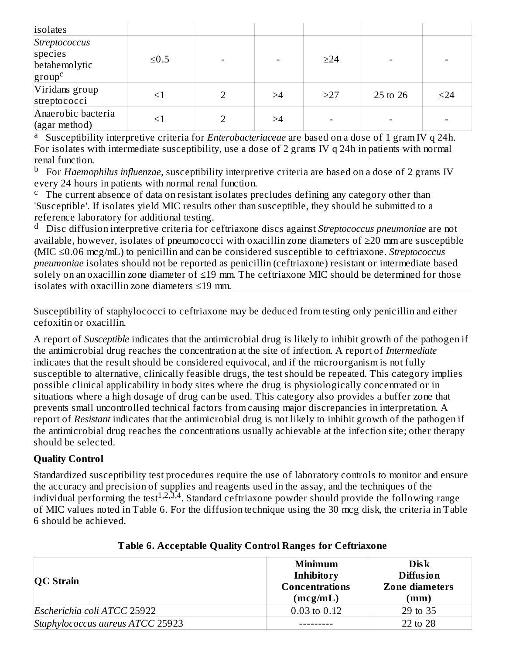| isolates                                                        |            |   |    |           |          |           |
|-----------------------------------------------------------------|------------|---|----|-----------|----------|-----------|
| Streptococcus<br>species<br>betahemolytic<br>group <sup>c</sup> | $\leq 0.5$ |   |    | $\geq$ 24 |          |           |
| Viridans group<br>streptococci                                  | $\leq$ 1   | 2 | ≥4 | $\geq$ 27 | 25 to 26 | $\leq$ 24 |
| Anaerobic bacteria<br>(agar method)                             | $\leq$ 1   | 2 | ≥4 |           |          |           |

<sup>a</sup> Susceptibility interpretive criteria for *Enterobacteriaceae* are based on a dose of 1 gram IV q 24h. For isolates with intermediate susceptibility, use a dose of 2 grams IV q 24h in patients with normal renal function.

For *Haemophilus influenzae,* susceptibility interpretive criteria are based on a dose of 2 grams IV every 24 hours in patients with normal renal function. b

 $\epsilon$  The current absence of data on resistant isolates precludes defining any category other than 'Susceptible'. If isolates yield MIC results other than susceptible, they should be submitted to a reference laboratory for additional testing.

Disc diffusion interpretive criteria for ceftriaxone discs against *Streptococcus pneumoniae* are not d available, however, isolates of pneumococci with oxacillin zone diameters of ≥20 mm are susceptible (MIC ≤0.06 mcg/mL) to penicillin and can be considered susceptible to ceftriaxone. *Streptococcus pneumoniae* isolates should not be reported as penicillin (ceftriaxone) resistant or intermediate based solely on an oxacillin zone diameter of ≤19 mm. The ceftriaxone MIC should be determined for those isolates with oxacillin zone diameters ≤19 mm.

Susceptibility of staphylococci to ceftriaxone may be deduced from testing only penicillin and either cefoxitin or oxacillin.

A report of *Susceptible* indicates that the antimicrobial drug is likely to inhibit growth of the pathogen if the antimicrobial drug reaches the concentration at the site of infection. A report of *Intermediate* indicates that the result should be considered equivocal, and if the microorganism is not fully susceptible to alternative, clinically feasible drugs, the test should be repeated. This category implies possible clinical applicability in body sites where the drug is physiologically concentrated or in situations where a high dosage of drug can be used. This category also provides a buffer zone that prevents small uncontrolled technical factors from causing major discrepancies in interpretation. A report of *Resistant* indicates that the antimicrobial drug is not likely to inhibit growth of the pathogen if the antimicrobial drug reaches the concentrations usually achievable at the infection site; other therapy should be selected.

### **Quality Control**

Standardized susceptibility test procedures require the use of laboratory controls to monitor and ensure the accuracy and precision of supplies and reagents used in the assay, and the techniques of the individual performing the test<sup>1,2,3,4</sup>. Standard ceftriaxone powder should provide the following range of MIC values noted in Table 6. For the diffusion technique using the 30 mcg disk, the criteria in Table 6 should be achieved.

| <b>QC</b> Strain                 | <b>Minimum</b><br><b>Inhibitory</b><br><b>Concentrations</b><br>(mcg/mL) | <b>Disk</b><br><b>Diffusion</b><br><b>Zone diameters</b><br>(mm) |  |
|----------------------------------|--------------------------------------------------------------------------|------------------------------------------------------------------|--|
| Escherichia coli ATCC 25922      | $0.03 \text{ to } 0.12$                                                  | 29 to 35                                                         |  |
| Staphylococcus aureus ATCC 25923 |                                                                          | 22 to 28                                                         |  |

#### **Table 6. Acceptable Quality Control Ranges for Ceftriaxone**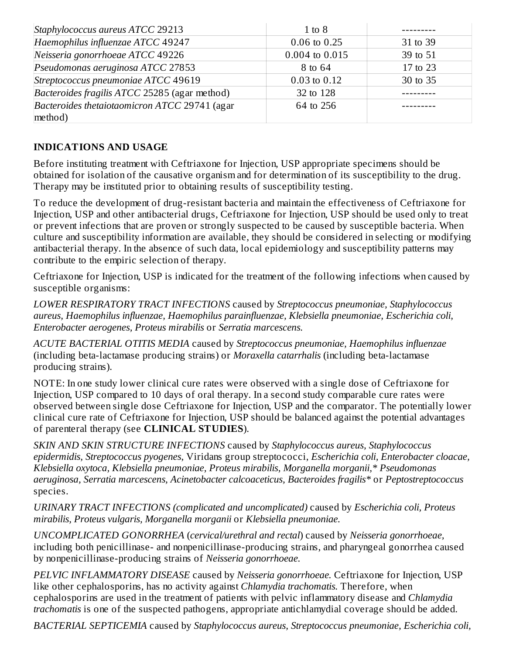| Staphylococcus aureus ATCC 29213              | $1$ to $8$       |          |
|-----------------------------------------------|------------------|----------|
| Haemophilus influenzae ATCC 49247             | $0.06$ to $0.25$ | 31 to 39 |
| Neisseria gonorrhoeae ATCC 49226              | 0.004 to 0.015   | 39 to 51 |
| Pseudomonas aeruginosa ATCC 27853             | 8 to 64          | 17 to 23 |
| Streptococcus pneumoniae ATCC 49619           | $0.03$ to $0.12$ | 30 to 35 |
| Bacteroides fragilis ATCC 25285 (agar method) | 32 to 128        |          |
| Bacteroides thetaiotaomicron ATCC 29741 (agar | 64 to 256        |          |
| method)                                       |                  |          |

### **INDICATIONS AND USAGE**

Before instituting treatment with Ceftriaxone for Injection, USP appropriate specimens should be obtained for isolation of the causative organism and for determination of its susceptibility to the drug. Therapy may be instituted prior to obtaining results of susceptibility testing.

To reduce the development of drug-resistant bacteria and maintain the effectiveness of Ceftriaxone for Injection, USP and other antibacterial drugs, Ceftriaxone for Injection, USP should be used only to treat or prevent infections that are proven or strongly suspected to be caused by susceptible bacteria. When culture and susceptibility information are available, they should be considered in selecting or modifying antibacterial therapy. In the absence of such data, local epidemiology and susceptibility patterns may contribute to the empiric selection of therapy.

Ceftriaxone for Injection, USP is indicated for the treatment of the following infections when caused by susceptible organisms:

*LOWER RESPIRATORY TRACT INFECTIONS* caused by *Streptococcus pneumoniae, Staphylococcus aureus, Haemophilus influenzae, Haemophilus parainfluenzae, Klebsiella pneumoniae, Escherichia coli, Enterobacter aerogenes, Proteus mirabilis* or *Serratia marcescens.*

*ACUTE BACTERIAL OTITIS MEDIA* caused by *Streptococcus pneumoniae, Haemophilus influenzae* (including beta-lactamase producing strains) or *Moraxella catarrhalis* (including beta-lactamase producing strains).

NOTE: In one study lower clinical cure rates were observed with a single dose of Ceftriaxone for Injection, USP compared to 10 days of oral therapy. In a second study comparable cure rates were observed between single dose Ceftriaxone for Injection, USP and the comparator. The potentially lower clinical cure rate of Ceftriaxone for Injection, USP should be balanced against the potential advantages of parenteral therapy (see **CLINICAL STUDIES**).

*SKIN AND SKIN STRUCTURE INFECTIONS* caused by *Staphylococcus aureus, Staphylococcus epidermidis, Streptococcus pyogenes*, Viridans group streptococci, *Escherichia coli, Enterobacter cloacae, Klebsiella oxytoca, Klebsiella pneumoniae, Proteus mirabilis, Morganella morganii,\* Pseudomonas aeruginosa, Serratia marcescens, Acinetobacter calcoaceticus, Bacteroides fragilis\** or *Peptostreptococcus* species.

*URINARY TRACT INFECTIONS (complicated and uncomplicated)* caused by *Escherichia coli, Proteus mirabilis, Proteus vulgaris, Morganella morganii* or *Klebsiella pneumoniae.*

*UNCOMPLICATED GONORRHEA* (*cervical/urethral and rectal*) caused by *Neisseria gonorrhoeae,* including both penicillinase- and nonpenicillinase-producing strains, and pharyngeal gonorrhea caused by nonpenicillinase-producing strains of *Neisseria gonorrhoeae.*

*PELVIC INFLAMMATORY DISEASE* caused by *Neisseria gonorrhoeae.* Ceftriaxone for Injection, USP like other cephalosporins, has no activity against *Chlamydia trachomatis.* Therefore, when cephalosporins are used in the treatment of patients with pelvic inflammatory disease and *Chlamydia trachomatis* is one of the suspected pathogens, appropriate antichlamydial coverage should be added.

*BACTERIAL SEPTICEMIA* caused by *Staphylococcus aureus, Streptococcus pneumoniae, Escherichia coli,*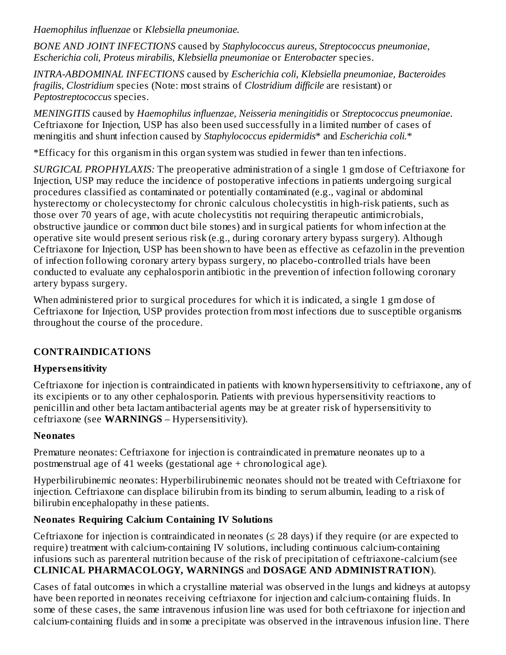*Haemophilus influenzae* or *Klebsiella pneumoniae.*

*BONE AND JOINT INFECTIONS* caused by *Staphylococcus aureus, Streptococcus pneumoniae, Escherichia coli, Proteus mirabilis, Klebsiella pneumoniae* or *Enterobacter* species.

*INTRA-ABDOMINAL INFECTIONS* caused by *Escherichia coli, Klebsiella pneumoniae, Bacteroides fragilis, Clostridium* species (Note: most strains of *Clostridium difficile* are resistant) or *Peptostreptococcus* species.

*MENINGITIS* caused by *Haemophilus influenzae, Neisseria meningitidis* or *Streptococcus pneumoniae*. Ceftriaxone for Injection, USP has also been used successfully in a limited number of cases of meningitis and shunt infection caused by *Staphylococcus epidermidis*\* and *Escherichia coli.*\*

\*Efficacy for this organism in this organ system was studied in fewer than ten infections.

*SURGICAL PROPHYLAXIS:* The preoperative administration of a single 1 gm dose of Ceftriaxone for Injection, USP may reduce the incidence of postoperative infections in patients undergoing surgical procedures classified as contaminated or potentially contaminated (e.g.*,* vaginal or abdominal hysterectomy or cholecystectomy for chronic calculous cholecystitis in high-risk patients, such as those over 70 years of age, with acute cholecystitis not requiring therapeutic antimicrobials, obstructive jaundice or common duct bile stones) and in surgical patients for whom infection at the operative site would present serious risk (e.g.*,* during coronary artery bypass surgery). Although Ceftriaxone for Injection, USP has been shown to have been as effective as cefazolin in the prevention of infection following coronary artery bypass surgery, no placebo-controlled trials have been conducted to evaluate any cephalosporin antibiotic in the prevention of infection following coronary artery bypass surgery.

When administered prior to surgical procedures for which it is indicated, a single 1 gm dose of Ceftriaxone for Injection, USP provides protection from most infections due to susceptible organisms throughout the course of the procedure.

# **CONTRAINDICATIONS**

# **Hypers ensitivity**

Ceftriaxone for injection is contraindicated in patients with known hypersensitivity to ceftriaxone, any of its excipients or to any other cephalosporin. Patients with previous hypersensitivity reactions to penicillin and other beta lactam antibacterial agents may be at greater risk of hypersensitivity to ceftriaxone (see **WARNINGS** – Hypersensitivity).

# **Neonates**

Premature neonates: Ceftriaxone for injection is contraindicated in premature neonates up to a postmenstrual age of 41 weeks (gestational age + chronological age).

Hyperbilirubinemic neonates: Hyperbilirubinemic neonates should not be treated with Ceftriaxone for injection. Ceftriaxone can displace bilirubin from its binding to serum albumin, leading to a risk of bilirubin encephalopathy in these patients.

# **Neonates Requiring Calcium Containing IV Solutions**

Ceftriaxone for injection is contraindicated in neonates  $(\leq 28 \text{ days})$  if they require (or are expected to require) treatment with calcium-containing IV solutions, including continuous calcium-containing infusions such as parenteral nutrition because of the risk of precipitation of ceftriaxone-calcium (see **CLINICAL PHARMACOLOGY, WARNINGS** and **DOSAGE AND ADMINISTRATION**).

Cases of fatal outcomes in which a crystalline material was observed in the lungs and kidneys at autopsy have been reported in neonates receiving ceftriaxone for injection and calcium-containing fluids. In some of these cases, the same intravenous infusion line was used for both ceftriaxone for injection and calcium-containing fluids and in some a precipitate was observed in the intravenous infusion line. There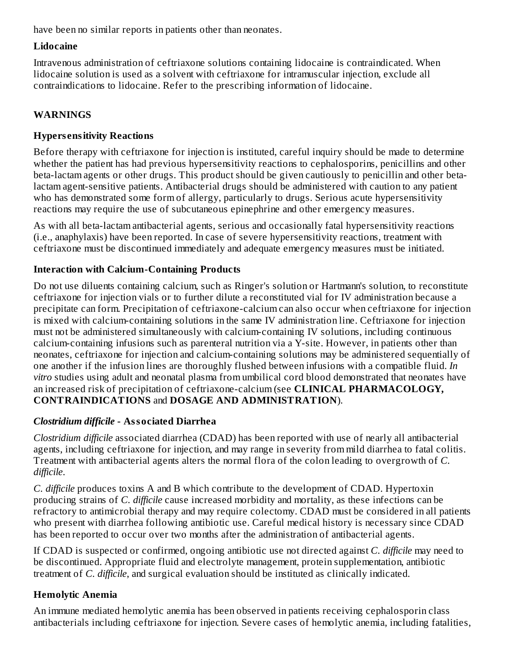have been no similar reports in patients other than neonates.

### **Lidocaine**

Intravenous administration of ceftriaxone solutions containing lidocaine is contraindicated. When lidocaine solution is used as a solvent with ceftriaxone for intramuscular injection, exclude all contraindications to lidocaine. Refer to the prescribing information of lidocaine.

# **WARNINGS**

### **Hypers ensitivity Reactions**

Before therapy with ceftriaxone for injection is instituted, careful inquiry should be made to determine whether the patient has had previous hypersensitivity reactions to cephalosporins, penicillins and other beta-lactam agents or other drugs. This product should be given cautiously to penicillin and other betalactam agent-sensitive patients. Antibacterial drugs should be administered with caution to any patient who has demonstrated some form of allergy, particularly to drugs. Serious acute hypersensitivity reactions may require the use of subcutaneous epinephrine and other emergency measures.

As with all beta-lactam antibacterial agents, serious and occasionally fatal hypersensitivity reactions (i.e., anaphylaxis) have been reported. In case of severe hypersensitivity reactions, treatment with ceftriaxone must be discontinued immediately and adequate emergency measures must be initiated.

# **Interaction with Calcium-Containing Products**

Do not use diluents containing calcium, such as Ringer's solution or Hartmann's solution, to reconstitute ceftriaxone for injection vials or to further dilute a reconstituted vial for IV administration because a precipitate can form. Precipitation of ceftriaxone-calcium can also occur when ceftriaxone for injection is mixed with calcium-containing solutions in the same IV administration line. Ceftriaxone for injection must not be administered simultaneously with calcium-containing IV solutions, including continuous calcium-containing infusions such as parenteral nutrition via a Y-site. However, in patients other than neonates, ceftriaxone for injection and calcium-containing solutions may be administered sequentially of one another if the infusion lines are thoroughly flushed between infusions with a compatible fluid. *In vitro* studies using adult and neonatal plasma from umbilical cord blood demonstrated that neonates have an increased risk of precipitation of ceftriaxone-calcium (see **CLINICAL PHARMACOLOGY, CONTRAINDICATIONS** and **DOSAGE AND ADMINISTRATION**).

### *Clostridium difficile* **- Associated Diarrhea**

*Clostridium difficile* associated diarrhea (CDAD) has been reported with use of nearly all antibacterial agents, including ceftriaxone for injection, and may range in severity from mild diarrhea to fatal colitis. Treatment with antibacterial agents alters the normal flora of the colon leading to overgrowth of *C. difficile*.

*C. difficile* produces toxins A and B which contribute to the development of CDAD. Hypertoxin producing strains of *C. difficile* cause increased morbidity and mortality, as these infections can be refractory to antimicrobial therapy and may require colectomy. CDAD must be considered in all patients who present with diarrhea following antibiotic use. Careful medical history is necessary since CDAD has been reported to occur over two months after the administration of antibacterial agents.

If CDAD is suspected or confirmed, ongoing antibiotic use not directed against *C. difficile* may need to be discontinued. Appropriate fluid and electrolyte management, protein supplementation, antibiotic treatment of *C. difficile*, and surgical evaluation should be instituted as clinically indicated.

# **Hemolytic Anemia**

An immune mediated hemolytic anemia has been observed in patients receiving cephalosporin class antibacterials including ceftriaxone for injection. Severe cases of hemolytic anemia, including fatalities,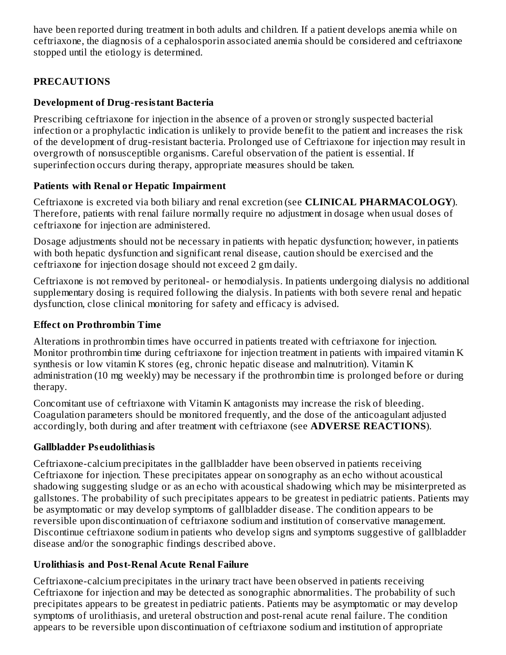have been reported during treatment in both adults and children. If a patient develops anemia while on ceftriaxone, the diagnosis of a cephalosporin associated anemia should be considered and ceftriaxone stopped until the etiology is determined.

# **PRECAUTIONS**

### **Development of Drug-resistant Bacteria**

Prescribing ceftriaxone for injection in the absence of a proven or strongly suspected bacterial infection or a prophylactic indication is unlikely to provide benefit to the patient and increases the risk of the development of drug-resistant bacteria. Prolonged use of Ceftriaxone for injection may result in overgrowth of nonsusceptible organisms. Careful observation of the patient is essential. If superinfection occurs during therapy, appropriate measures should be taken.

# **Patients with Renal or Hepatic Impairment**

Ceftriaxone is excreted via both biliary and renal excretion (see **CLINICAL PHARMACOLOGY**). Therefore, patients with renal failure normally require no adjustment in dosage when usual doses of ceftriaxone for injection are administered.

Dosage adjustments should not be necessary in patients with hepatic dysfunction; however, in patients with both hepatic dysfunction and significant renal disease, caution should be exercised and the ceftriaxone for injection dosage should not exceed 2 gm daily.

Ceftriaxone is not removed by peritoneal- or hemodialysis. In patients undergoing dialysis no additional supplementary dosing is required following the dialysis. In patients with both severe renal and hepatic dysfunction, close clinical monitoring for safety and efficacy is advised.

### **Effect on Prothrombin Time**

Alterations in prothrombin times have occurred in patients treated with ceftriaxone for injection. Monitor prothrombin time during ceftriaxone for injection treatment in patients with impaired vitamin K synthesis or low vitamin K stores (eg, chronic hepatic disease and malnutrition). Vitamin K administration (10 mg weekly) may be necessary if the prothrombin time is prolonged before or during therapy.

Concomitant use of ceftriaxone with Vitamin K antagonists may increase the risk of bleeding. Coagulation parameters should be monitored frequently, and the dose of the anticoagulant adjusted accordingly, both during and after treatment with ceftriaxone (see **ADVERSE REACTIONS**).

### **Gallbladder Ps eudolithiasis**

Ceftriaxone-calcium precipitates in the gallbladder have been observed in patients receiving Ceftriaxone for injection. These precipitates appear on sonography as an echo without acoustical shadowing suggesting sludge or as an echo with acoustical shadowing which may be misinterpreted as gallstones. The probability of such precipitates appears to be greatest in pediatric patients. Patients may be asymptomatic or may develop symptoms of gallbladder disease. The condition appears to be reversible upon discontinuation of ceftriaxone sodium and institution of conservative management. Discontinue ceftriaxone sodium in patients who develop signs and symptoms suggestive of gallbladder disease and/or the sonographic findings described above.

# **Urolithiasis and Post-Renal Acute Renal Failure**

Ceftriaxone-calcium precipitates in the urinary tract have been observed in patients receiving Ceftriaxone for injection and may be detected as sonographic abnormalities. The probability of such precipitates appears to be greatest in pediatric patients. Patients may be asymptomatic or may develop symptoms of urolithiasis, and ureteral obstruction and post-renal acute renal failure. The condition appears to be reversible upon discontinuation of ceftriaxone sodium and institution of appropriate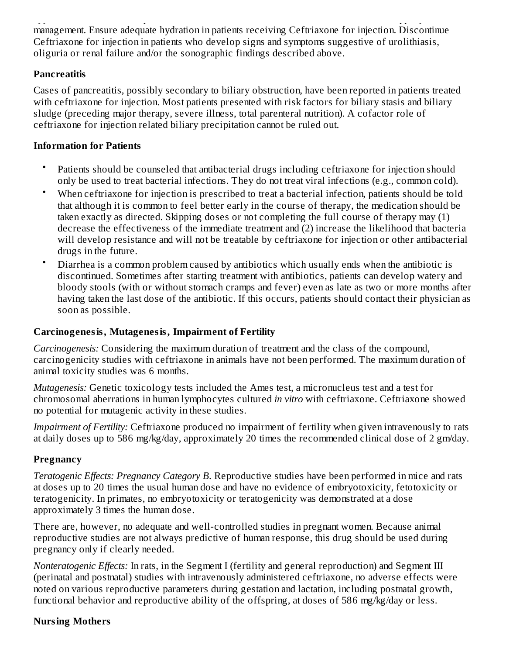appears to be reversible upon discontinuation of ceftriaxone sodium and institution of appropriate management. Ensure adequate hydration in patients receiving Ceftriaxone for injection. Discontinue Ceftriaxone for injection in patients who develop signs and symptoms suggestive of urolithiasis, oliguria or renal failure and/or the sonographic findings described above.

### **Pancreatitis**

Cases of pancreatitis, possibly secondary to biliary obstruction, have been reported in patients treated with ceftriaxone for injection. Most patients presented with risk factors for biliary stasis and biliary sludge (preceding major therapy, severe illness, total parenteral nutrition). A cofactor role of ceftriaxone for injection related biliary precipitation cannot be ruled out.

### **Information for Patients**

- Patients should be counseled that antibacterial drugs including ceftriaxone for injection should only be used to treat bacterial infections. They do not treat viral infections (e.g., common cold).
- When ceftriaxone for injection is prescribed to treat a bacterial infection, patients should be told that although it is common to feel better early in the course of therapy, the medication should be taken exactly as directed. Skipping doses or not completing the full course of therapy may (1) decrease the effectiveness of the immediate treatment and (2) increase the likelihood that bacteria will develop resistance and will not be treatable by ceftriaxone for injection or other antibacterial drugs in the future.
- Diarrhea is a common problem caused by antibiotics which usually ends when the antibiotic is discontinued. Sometimes after starting treatment with antibiotics, patients can develop watery and bloody stools (with or without stomach cramps and fever) even as late as two or more months after having taken the last dose of the antibiotic. If this occurs, patients should contact their physician as soon as possible.

### **Carcinogenesis, Mutagenesis, Impairment of Fertility**

*Carcinogenesis:* Considering the maximum duration of treatment and the class of the compound, carcinogenicity studies with ceftriaxone in animals have not been performed. The maximum duration of animal toxicity studies was 6 months.

*Mutagenesis:* Genetic toxicology tests included the Ames test, a micronucleus test and a test for chromosomal aberrations in human lymphocytes cultured *in vitro* with ceftriaxone. Ceftriaxone showed no potential for mutagenic activity in these studies.

*Impairment of Fertility:* Ceftriaxone produced no impairment of fertility when given intravenously to rats at daily doses up to 586 mg/kg/day, approximately 20 times the recommended clinical dose of 2 gm/day.

### **Pregnancy**

*Teratogenic Effects: Pregnancy Category B.* Reproductive studies have been performed in mice and rats at doses up to 20 times the usual human dose and have no evidence of embryotoxicity, fetotoxicity or teratogenicity. In primates, no embryotoxicity or teratogenicity was demonstrated at a dose approximately 3 times the human dose.

There are, however, no adequate and well-controlled studies in pregnant women. Because animal reproductive studies are not always predictive of human response, this drug should be used during pregnancy only if clearly needed.

*Nonteratogenic Effects:* In rats, in the Segment I (fertility and general reproduction) and Segment III (perinatal and postnatal) studies with intravenously administered ceftriaxone, no adverse effects were noted on various reproductive parameters during gestation and lactation, including postnatal growth, functional behavior and reproductive ability of the offspring, at doses of 586 mg/kg/day or less.

#### **Nursing Mothers**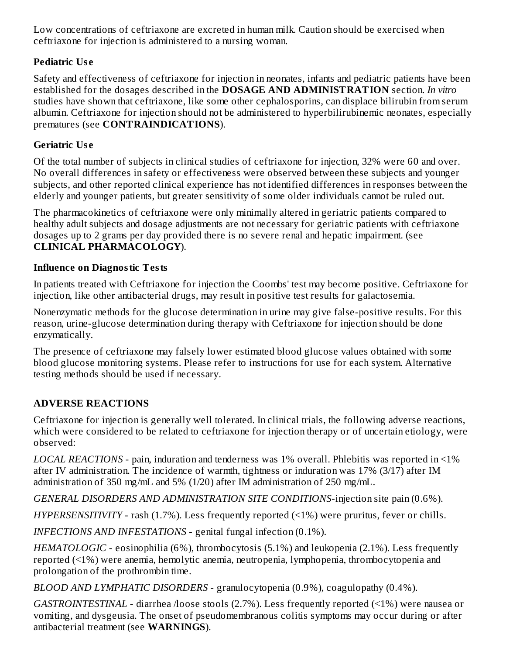Low concentrations of ceftriaxone are excreted in human milk. Caution should be exercised when ceftriaxone for injection is administered to a nursing woman.

# **Pediatric Us e**

Safety and effectiveness of ceftriaxone for injection in neonates, infants and pediatric patients have been established for the dosages described in the **DOSAGE AND ADMINISTRATION** section. *In vitro* studies have shown that ceftriaxone, like some other cephalosporins, can displace bilirubin from serum albumin. Ceftriaxone for injection should not be administered to hyperbilirubinemic neonates, especially prematures (see **CONTRAINDICATIONS**).

# **Geriatric Us e**

Of the total number of subjects in clinical studies of ceftriaxone for injection, 32% were 60 and over. No overall differences in safety or effectiveness were observed between these subjects and younger subjects, and other reported clinical experience has not identified differences in responses between the elderly and younger patients, but greater sensitivity of some older individuals cannot be ruled out.

The pharmacokinetics of ceftriaxone were only minimally altered in geriatric patients compared to healthy adult subjects and dosage adjustments are not necessary for geriatric patients with ceftriaxone dosages up to 2 grams per day provided there is no severe renal and hepatic impairment. (see **CLINICAL PHARMACOLOGY**).

# **Influence on Diagnostic Tests**

In patients treated with Ceftriaxone for injection the Coombs' test may become positive. Ceftriaxone for injection, like other antibacterial drugs, may result in positive test results for galactosemia.

Nonenzymatic methods for the glucose determination in urine may give false-positive results. For this reason, urine-glucose determination during therapy with Ceftriaxone for injection should be done enzymatically.

The presence of ceftriaxone may falsely lower estimated blood glucose values obtained with some blood glucose monitoring systems. Please refer to instructions for use for each system. Alternative testing methods should be used if necessary.

# **ADVERSE REACTIONS**

Ceftriaxone for injection is generally well tolerated. In clinical trials, the following adverse reactions, which were considered to be related to ceftriaxone for injection therapy or of uncertain etiology, were observed:

*LOCAL REACTIONS* - pain, induration and tenderness was 1% overall. Phlebitis was reported in <1% after IV administration. The incidence of warmth, tightness or induration was 17% (3/17) after IM administration of 350 mg/mL and 5% (1/20) after IM administration of 250 mg/mL.

*GENERAL DISORDERS AND ADMINISTRATION SITE CONDITIONS*-injection site pain (0.6%).

*HYPERSENSITIVITY* - rash (1.7%). Less frequently reported (<1%) were pruritus, fever or chills.

*INFECTIONS AND INFESTATIONS* - genital fungal infection (0.1%).

*HEMATOLOGIC* - eosinophilia (6%), thrombocytosis (5.1%) and leukopenia (2.1%). Less frequently reported (<1%) were anemia, hemolytic anemia, neutropenia, lymphopenia, thrombocytopenia and prolongation of the prothrombin time.

*BLOOD AND LYMPHATIC DISORDERS* - granulocytopenia (0.9%), coagulopathy (0.4%).

*GASTROINTESTINAL* - diarrhea /loose stools (2.7%). Less frequently reported (<1%) were nausea or vomiting, and dysgeusia. The onset of pseudomembranous colitis symptoms may occur during or after antibacterial treatment (see **WARNINGS**).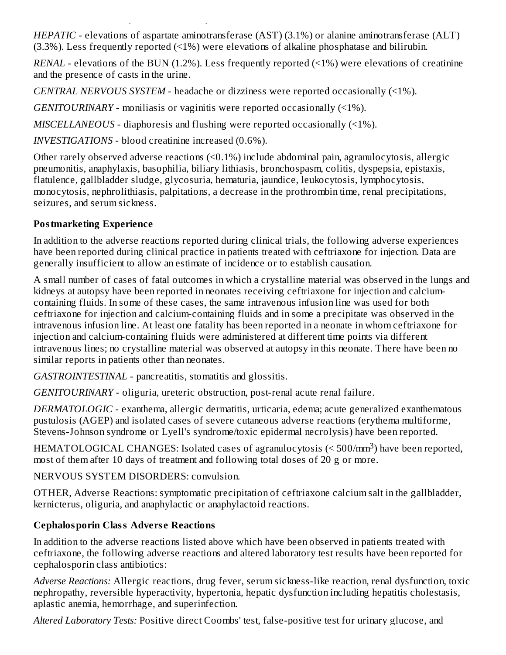*HEPATIC* - elevations of aspartate aminotransferase (AST) (3.1%) or alanine aminotransferase (ALT) (3.3%). Less frequently reported (<1%) were elevations of alkaline phosphatase and bilirubin.

*RENAL* - elevations of the BUN (1.2%). Less frequently reported (<1%) were elevations of creatinine and the presence of casts in the urine.

*CENTRAL NERVOUS SYSTEM* - headache or dizziness were reported occasionally (<1%).

*GENITOURINARY* - moniliasis or vaginitis were reported occasionally (<1%).

*MISCELLANEOUS* - diaphoresis and flushing were reported occasionally (<1%).

*INVESTIGATIONS* - blood creatinine increased (0.6%).

antibacterial treatment (see **WARNINGS**).

Other rarely observed adverse reactions (<0.1%) include abdominal pain, agranulocytosis, allergic pneumonitis, anaphylaxis, basophilia, biliary lithiasis, bronchospasm, colitis, dyspepsia, epistaxis, flatulence, gallbladder sludge, glycosuria, hematuria, jaundice, leukocytosis, lymphocytosis, monocytosis, nephrolithiasis, palpitations, a decrease in the prothrombin time, renal precipitations, seizures, and serum sickness.

#### **Postmarketing Experience**

In addition to the adverse reactions reported during clinical trials, the following adverse experiences have been reported during clinical practice in patients treated with ceftriaxone for injection. Data are generally insufficient to allow an estimate of incidence or to establish causation.

A small number of cases of fatal outcomes in which a crystalline material was observed in the lungs and kidneys at autopsy have been reported in neonates receiving ceftriaxone for injection and calciumcontaining fluids. In some of these cases, the same intravenous infusion line was used for both ceftriaxone for injection and calcium-containing fluids and in some a precipitate was observed in the intravenous infusion line. At least one fatality has been reported in a neonate in whom ceftriaxone for injection and calcium-containing fluids were administered at different time points via different intravenous lines; no crystalline material was observed at autopsy in this neonate. There have been no similar reports in patients other than neonates.

*GASTROINTESTINAL* - pancreatitis, stomatitis and glossitis.

*GENITOURINARY* - oliguria, ureteric obstruction, post-renal acute renal failure.

*DERMATOLOGIC* - exanthema, allergic dermatitis, urticaria, edema; acute generalized exanthematous pustulosis (AGEP) and isolated cases of severe cutaneous adverse reactions (erythema multiforme, Stevens-Johnson syndrome or Lyell's syndrome/toxic epidermal necrolysis) have been reported.

HEMATOLOGICAL CHANGES: Isolated cases of agranulocytosis ( $\leq 500/\text{mm}^3$ ) have been reported, most of them after 10 days of treatment and following total doses of 20 g or more.

NERVOUS SYSTEM DISORDERS: convulsion.

OTHER, Adverse Reactions: symptomatic precipitation of ceftriaxone calcium salt in the gallbladder, kernicterus, oliguria, and anaphylactic or anaphylactoid reactions.

### **Cephalosporin Class Advers e Reactions**

In addition to the adverse reactions listed above which have been observed in patients treated with ceftriaxone, the following adverse reactions and altered laboratory test results have been reported for cephalosporin class antibiotics:

*Adverse Reactions:* Allergic reactions, drug fever, serum sickness-like reaction, renal dysfunction, toxic nephropathy, reversible hyperactivity, hypertonia, hepatic dysfunction including hepatitis cholestasis, aplastic anemia, hemorrhage, and superinfection.

*Altered Laboratory Tests:* Positive direct Coombs' test, false-positive test for urinary glucose, and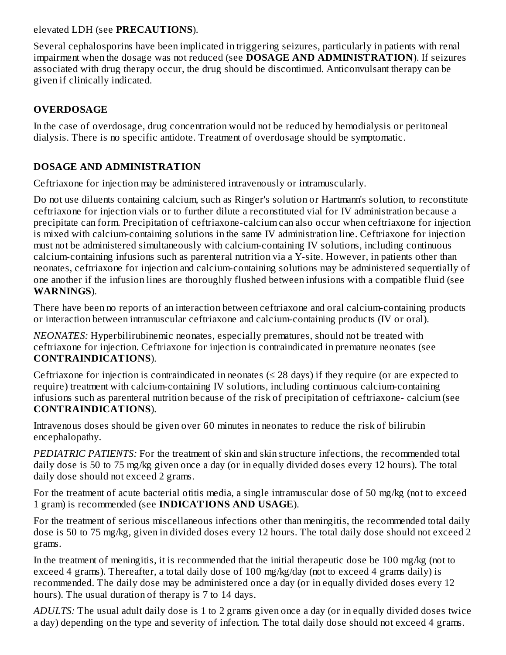elevated LDH (see **PRECAUTIONS**).

Several cephalosporins have been implicated in triggering seizures, particularly in patients with renal impairment when the dosage was not reduced (see **DOSAGE AND ADMINISTRATION**). If seizures associated with drug therapy occur, the drug should be discontinued. Anticonvulsant therapy can be given if clinically indicated.

# **OVERDOSAGE**

In the case of overdosage, drug concentration would not be reduced by hemodialysis or peritoneal dialysis. There is no specific antidote. Treatment of overdosage should be symptomatic.

# **DOSAGE AND ADMINISTRATION**

Ceftriaxone for injection may be administered intravenously or intramuscularly.

Do not use diluents containing calcium, such as Ringer's solution or Hartmann's solution, to reconstitute ceftriaxone for injection vials or to further dilute a reconstituted vial for IV administration because a precipitate can form. Precipitation of ceftriaxone-calcium can also occur when ceftriaxone for injection is mixed with calcium-containing solutions in the same IV administration line. Ceftriaxone for injection must not be administered simultaneously with calcium-containing IV solutions, including continuous calcium-containing infusions such as parenteral nutrition via a Y-site. However, in patients other than neonates, ceftriaxone for injection and calcium-containing solutions may be administered sequentially of one another if the infusion lines are thoroughly flushed between infusions with a compatible fluid (see **WARNINGS**).

There have been no reports of an interaction between ceftriaxone and oral calcium-containing products or interaction between intramuscular ceftriaxone and calcium-containing products (IV or oral).

*NEONATES:* Hyperbilirubinemic neonates, especially prematures, should not be treated with ceftriaxone for injection. Ceftriaxone for injection is contraindicated in premature neonates (see **CONTRAINDICATIONS**).

Ceftriaxone for injection is contraindicated in neonates  $(\leq 28 \text{ days})$  if they require (or are expected to require) treatment with calcium-containing IV solutions, including continuous calcium-containing infusions such as parenteral nutrition because of the risk of precipitation of ceftriaxone- calcium (see **CONTRAINDICATIONS**).

Intravenous doses should be given over 60 minutes in neonates to reduce the risk of bilirubin encephalopathy.

*PEDIATRIC PATIENTS:* For the treatment of skin and skin structure infections, the recommended total daily dose is 50 to 75 mg/kg given once a day (or in equally divided doses every 12 hours). The total daily dose should not exceed 2 grams.

For the treatment of acute bacterial otitis media, a single intramuscular dose of 50 mg/kg (not to exceed 1 gram) is recommended (see **INDICATIONS AND USAGE**).

For the treatment of serious miscellaneous infections other than meningitis, the recommended total daily dose is 50 to 75 mg/kg, given in divided doses every 12 hours. The total daily dose should not exceed 2 grams.

In the treatment of meningitis, it is recommended that the initial therapeutic dose be 100 mg/kg (not to exceed 4 grams). Thereafter, a total daily dose of 100 mg/kg/day (not to exceed 4 grams daily) is recommended. The daily dose may be administered once a day (or in equally divided doses every 12 hours). The usual duration of therapy is 7 to 14 days.

*ADULTS:* The usual adult daily dose is 1 to 2 grams given once a day (or in equally divided doses twice a day) depending on the type and severity of infection. The total daily dose should not exceed 4 grams.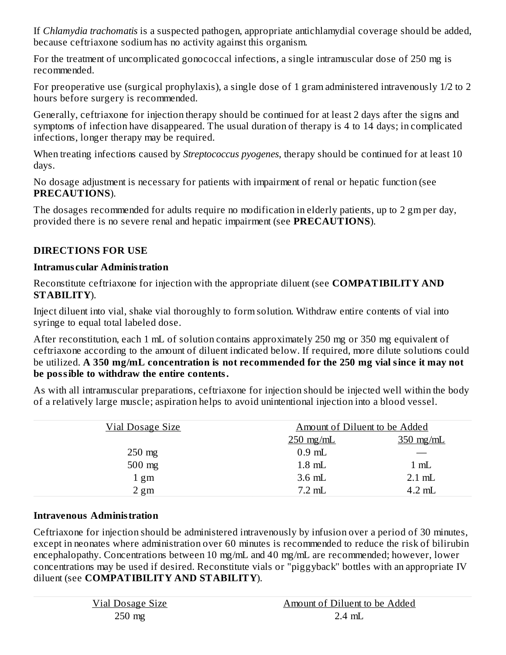If *Chlamydia trachomatis* is a suspected pathogen, appropriate antichlamydial coverage should be added, because ceftriaxone sodium has no activity against this organism.

For the treatment of uncomplicated gonococcal infections, a single intramuscular dose of 250 mg is recommended.

For preoperative use (surgical prophylaxis), a single dose of 1 gram administered intravenously 1/2 to 2 hours before surgery is recommended.

Generally, ceftriaxone for injection therapy should be continued for at least 2 days after the signs and symptoms of infection have disappeared. The usual duration of therapy is 4 to 14 days; in complicated infections, longer therapy may be required.

When treating infections caused by *Streptococcus pyogenes*, therapy should be continued for at least 10 days.

No dosage adjustment is necessary for patients with impairment of renal or hepatic function (see **PRECAUTIONS**).

The dosages recommended for adults require no modification in elderly patients, up to 2 gm per day, provided there is no severe renal and hepatic impairment (see **PRECAUTIONS**).

### **DIRECTIONS FOR USE**

### **Intramus cular Administration**

Reconstitute ceftriaxone for injection with the appropriate diluent (see **COMPATIBILITY AND STABILITY**).

Inject diluent into vial, shake vial thoroughly to form solution. Withdraw entire contents of vial into syringe to equal total labeled dose.

After reconstitution, each 1 mL of solution contains approximately 250 mg or 350 mg equivalent of ceftriaxone according to the amount of diluent indicated below. If required, more dilute solutions could be utilized. **A 350 mg/mL concentration is not recommended for the 250 mg vial since it may not be possible to withdraw the entire contents.**

As with all intramuscular preparations, ceftriaxone for injection should be injected well within the body of a relatively large muscle; aspiration helps to avoid unintentional injection into a blood vessel.

| <u>Vial Dosage Size</u> | Amount of Diluent to be Added |                  |  |
|-------------------------|-------------------------------|------------------|--|
|                         | $250$ mg/mL                   | $350$ mg/mL      |  |
| $250$ mg                | $0.9$ mL                      |                  |  |
| $500$ mg                | $1.8$ mL                      | 1 mL             |  |
| $1 \text{ gm}$          | $3.6$ mL                      | $2.1 \text{ mL}$ |  |
| 2 gm                    | $7.2 \text{ mL}$              | $4.2 \text{ mL}$ |  |
|                         |                               |                  |  |

#### **Intravenous Administration**

Ceftriaxone for injection should be administered intravenously by infusion over a period of 30 minutes, except in neonates where administration over 60 minutes is recommended to reduce the risk of bilirubin encephalopathy. Concentrations between 10 mg/mL and 40 mg/mL are recommended; however, lower concentrations may be used if desired. Reconstitute vials or "piggyback" bottles with an appropriate IV diluent (see **COMPATIBILITY AND STABILITY**).

| Vial Dosage Size | Amount of Diluent to be Added |
|------------------|-------------------------------|
| $250 \text{ mg}$ | $2.4 \text{ mL}$              |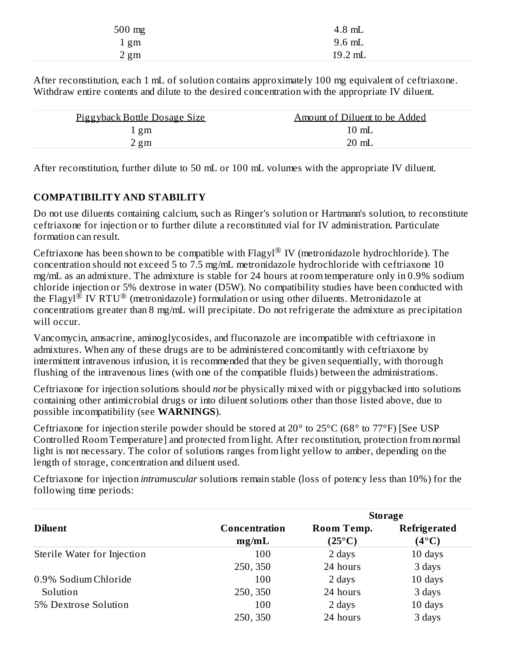| 500 mg         | $4.8$ mL |
|----------------|----------|
| 1 gm           | $9.6$ mL |
| $2 \text{ gm}$ | 19.2 mL  |

After reconstitution, each 1 mL of solution contains approximately 100 mg equivalent of ceftriaxone. Withdraw entire contents and dilute to the desired concentration with the appropriate IV diluent.

| Piggyback Bottle Dosage Size | Amount of Diluent to be Added |
|------------------------------|-------------------------------|
| 1 gm                         | $10 \text{ mL}$               |
| 2 gm                         | $20 \text{ mL}$               |

After reconstitution, further dilute to 50 mL or 100 mL volumes with the appropriate IV diluent.

### **COMPATIBILITY AND STABILITY**

Do not use diluents containing calcium, such as Ringer's solution or Hartmann's solution, to reconstitute ceftriaxone for injection or to further dilute a reconstituted vial for IV administration. Particulate formation can result.

Ceftriaxone has been shown to be compatible with Flagyl $^{\circledR}$  IV (metronidazole hydrochloride). The concentration should not exceed 5 to 7.5 mg/mL metronidazole hydrochloride with ceftriaxone 10 mg/mL as an admixture. The admixture is stable for 24 hours at room temperature only in 0.9% sodium chloride injection or 5% dextrose in water (D5W). No compatibility studies have been conducted with the Flagyl $^{\circledR}$  IV RTU $^{\circledR}$  (metronidazole) formulation or using other diluents. Metronidazole at concentrations greater than 8 mg/mL will precipitate. Do not refrigerate the admixture as precipitation will occur.

Vancomycin, amsacrine, aminoglycosides, and fluconazole are incompatible with ceftriaxone in admixtures. When any of these drugs are to be administered concomitantly with ceftriaxone by intermittent intravenous infusion, it is recommended that they be given sequentially, with thorough flushing of the intravenous lines (with one of the compatible fluids) between the administrations.

Ceftriaxone for injection solutions should *not* be physically mixed with or piggybacked into solutions containing other antimicrobial drugs or into diluent solutions other than those listed above, due to possible incompatibility (see **WARNINGS**).

Ceftriaxone for injection sterile powder should be stored at 20° to 25°C (68° to 77°F) [See USP Controlled Room Temperature] and protected from light. After reconstitution, protection from normal light is not necessary. The color of solutions ranges from light yellow to amber, depending on the length of storage, concentration and diluent used.

Ceftriaxone for injection *intramuscular* solutions remain stable (loss of potency less than 10%) for the following time periods:

|                             |                        | <b>Storage</b>                       |                                       |  |  |
|-----------------------------|------------------------|--------------------------------------|---------------------------------------|--|--|
| <b>Diluent</b>              | Concentration<br>mg/mL | <b>Room Temp.</b><br>$(25^{\circ}C)$ | <b>Refrigerated</b><br>$(4^{\circ}C)$ |  |  |
| Sterile Water for Injection | 100                    | 2 days                               | 10 days                               |  |  |
|                             | 250, 350               | 24 hours                             | 3 days                                |  |  |
| 0.9% Sodium Chloride        | 100                    | 2 days                               | 10 days                               |  |  |
| Solution                    | 250, 350               | 24 hours                             | 3 days                                |  |  |
| 5% Dextrose Solution        | 100                    | 2 days                               | 10 days                               |  |  |
|                             | 250, 350               | 24 hours                             | 3 days                                |  |  |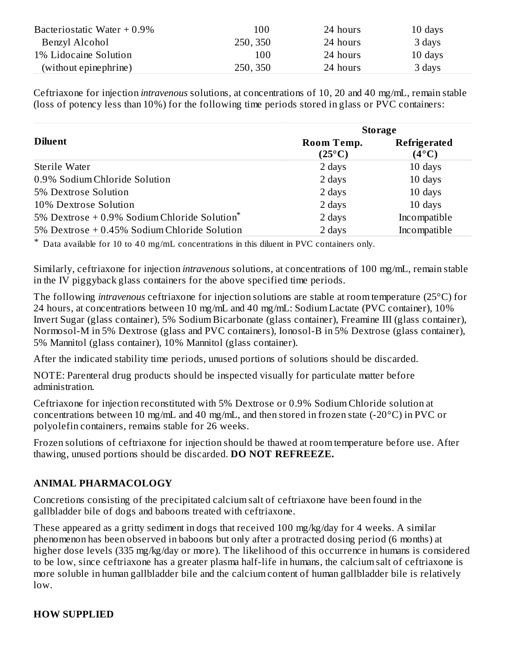| Bacteriostatic Water $+0.9\%$ | 100      | 24 hours | 10 days |
|-------------------------------|----------|----------|---------|
| Benzyl Alcohol                | 250, 350 | 24 hours | 3 days  |
| 1% Lidocaine Solution         | 100      | 24 hours | 10 days |
| (without epinephrine)         | 250, 350 | 24 hours | 3 days  |

Ceftriaxone for injection *intravenous* solutions, at concentrations of 10, 20 and 40 mg/mL, remain stable (loss of potency less than 10%) for the following time periods stored in glass or PVC containers:

|                                                            | <b>Storage</b>                       |                                       |  |  |
|------------------------------------------------------------|--------------------------------------|---------------------------------------|--|--|
| <b>Diluent</b>                                             | <b>Room Temp.</b><br>$(25^{\circ}C)$ | <b>Refrigerated</b><br>$(4^{\circ}C)$ |  |  |
| Sterile Water                                              | 2 days                               | 10 days                               |  |  |
| 0.9% Sodium Chloride Solution                              | 2 days                               | 10 days                               |  |  |
| 5% Dextrose Solution                                       | 2 days                               | 10 days                               |  |  |
| 10% Dextrose Solution                                      | 2 days                               | 10 days                               |  |  |
| 5% Dextrose $+0.9\%$ Sodium Chloride Solution <sup>*</sup> | 2 days                               | Incompatible                          |  |  |
| 5% Dextrose + 0.45% Sodium Chloride Solution               | 2 days                               | Incompatible                          |  |  |

\* Data available for 10 to 40 mg/mL concentrations in this diluent in PVC containers only.

Similarly, ceftriaxone for injection *intravenous* solutions, at concentrations of 100 mg/mL, remain stable in the IV piggyback glass containers for the above specified time periods.

The following *intravenous* ceftriaxone for injection solutions are stable at room temperature (25°C) for 24 hours, at concentrations between 10 mg/mL and 40 mg/mL: Sodium Lactate (PVC container), 10% Invert Sugar (glass container), 5% Sodium Bicarbonate (glass container), Freamine III (glass container), Normosol-M in 5% Dextrose (glass and PVC containers), Ionosol-B in 5% Dextrose (glass container), 5% Mannitol (glass container), 10% Mannitol (glass container).

After the indicated stability time periods, unused portions of solutions should be discarded.

NOTE: Parenteral drug products should be inspected visually for particulate matter before administration.

Ceftriaxone for injection reconstituted with 5% Dextrose or 0.9% Sodium Chloride solution at concentrations between 10 mg/mL and 40 mg/mL, and then stored in frozen state (-20°C) in PVC or polyolefin containers, remains stable for 26 weeks.

Frozen solutions of ceftriaxone for injection should be thawed at room temperature before use. After thawing, unused portions should be discarded. **DO NOT REFREEZE.**

#### **ANIMAL PHARMACOLOGY**

Concretions consisting of the precipitated calcium salt of ceftriaxone have been found in the gallbladder bile of dogs and baboons treated with ceftriaxone.

These appeared as a gritty sediment in dogs that received 100 mg/kg/day for 4 weeks. A similar phenomenon has been observed in baboons but only after a protracted dosing period (6 months) at higher dose levels (335 mg/kg/day or more). The likelihood of this occurrence in humans is considered to be low, since ceftriaxone has a greater plasma half-life in humans, the calcium salt of ceftriaxone is more soluble in human gallbladder bile and the calcium content of human gallbladder bile is relatively low.

#### **HOW SUPPLIED**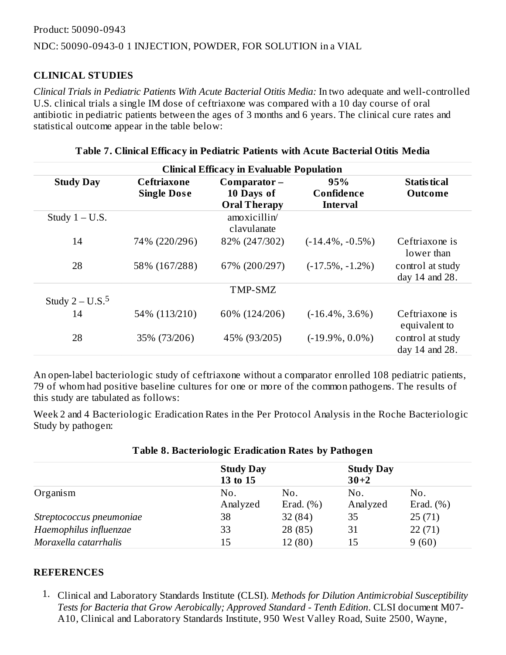### **CLINICAL STUDIES**

*Clinical Trials in Pediatric Patients With Acute Bacterial Otitis Media:* In two adequate and well-controlled U.S. clinical trials a single IM dose of ceftriaxone was compared with a 10 day course of oral antibiotic in pediatric patients between the ages of 3 months and 6 years. The clinical cure rates and statistical outcome appear in the table below:

| <b>Clinical Efficacy in Evaluable Population</b> |                                                                                                                                         |                             |                     |                                      |  |  |
|--------------------------------------------------|-----------------------------------------------------------------------------------------------------------------------------------------|-----------------------------|---------------------|--------------------------------------|--|--|
| <b>Study Day</b>                                 | 95%<br><b>Ceftriaxone</b><br>$Comparator -$<br>Confidence<br><b>Single Dose</b><br>10 Days of<br><b>Oral Therapy</b><br><b>Interval</b> |                             |                     | <b>Statistical</b><br><b>Outcome</b> |  |  |
| Study $1 - U.S.$                                 |                                                                                                                                         | amoxicillin/<br>clavulanate |                     |                                      |  |  |
| 14                                               | 74% (220/296)                                                                                                                           | 82% (247/302)               | $(-14.4\%, -0.5\%)$ | Ceftriaxone is<br>lower than         |  |  |
| 28                                               | 58% (167/288)                                                                                                                           | 67% (200/297)               | $(-17.5\%, -1.2\%)$ | control at study<br>day 14 and 28.   |  |  |
|                                                  |                                                                                                                                         | TMP-SMZ                     |                     |                                      |  |  |
| Study $2 - U.S.5$                                |                                                                                                                                         |                             |                     |                                      |  |  |
| 14                                               | 54% (113/210)                                                                                                                           | 60% (124/206)               | $(-16.4\%, 3.6\%)$  | Ceftriaxone is<br>equivalent to      |  |  |
| 28                                               | 35% (73/206)                                                                                                                            | 45% (93/205)                | $(-19.9\%, 0.0\%)$  | control at study<br>day 14 and 28.   |  |  |

An open-label bacteriologic study of ceftriaxone without a comparator enrolled 108 pediatric patients, 79 of whom had positive baseline cultures for one or more of the common pathogens. The results of this study are tabulated as follows:

Week 2 and 4 Bacteriologic Eradication Rates in the Per Protocol Analysis in the Roche Bacteriologic Study by pathogen:

|                          | <b>Study Day</b><br>13 to 15 |              | <b>Study Day</b><br>$30+2$ |              |
|--------------------------|------------------------------|--------------|----------------------------|--------------|
| Organism                 | No.                          | No.          | No.                        | No.          |
|                          | Analyzed                     | Erad. $(\%)$ | Analyzed                   | Erad. $(\%)$ |
| Streptococcus pneumoniae | 38                           | 32(84)       | 35                         | 25(71)       |
| Haemophilus influenzae   | 33                           | 28 (85)      | 31                         | 22(71)       |
| Moraxella catarrhalis    | 15                           | 12(80)       | 15                         | 9(60)        |

#### **Table 8. Bacteriologic Eradication Rates by Pathogen**

#### **REFERENCES**

1. Clinical and Laboratory Standards Institute (CLSI). *Methods for Dilution Antimicrobial Susceptibility Tests for Bacteria that Grow Aerobically; Approved Standard - Tenth Edition*. CLSI document M07- A10, Clinical and Laboratory Standards Institute, 950 West Valley Road, Suite 2500, Wayne,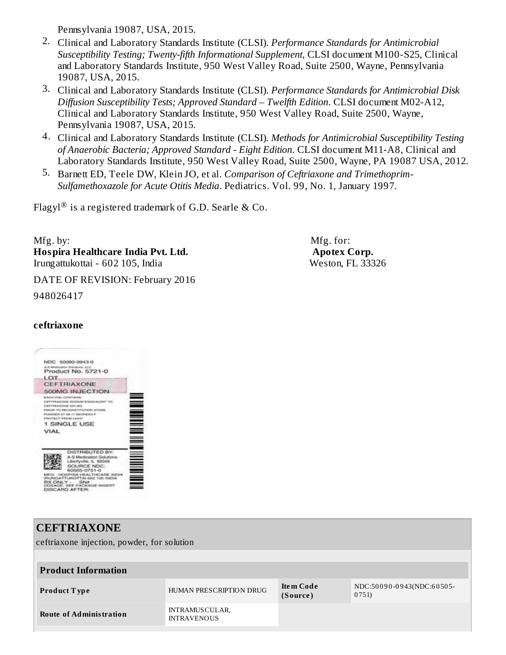Pennsylvania 19087, USA, 2015.

- 2. Clinical and Laboratory Standards Institute (CLSI). *Performance Standards for Antimicrobial Susceptibility Testing; Twenty-fifth Informational Supplement*, CLSI document M100-S25, Clinical and Laboratory Standards Institute, 950 West Valley Road, Suite 2500, Wayne, Pennsylvania 19087, USA, 2015.
- 3. Clinical and Laboratory Standards Institute (CLSI). *Performance Standards for Antimicrobial Disk Diffusion Susceptibility Tests; Approved Standard – Twelfth Edition*. CLSI document M02-A12, Clinical and Laboratory Standards Institute, 950 West Valley Road, Suite 2500, Wayne, Pennsylvania 19087, USA, 2015.
- 4. Clinical and Laboratory Standards Institute (CLSI). *Methods for Antimicrobial Susceptibility Testing of Anaerobic Bacteria; Approved Standard - Eight Edition*. CLSI document M11-A8, Clinical and Laboratory Standards Institute, 950 West Valley Road, Suite 2500, Wayne, PA 19087 USA, 2012.
- 5. Barnett ED, Teele DW, Klein JO, et al. *Comparison of Ceftriaxone and Trimethoprim-Sulfamethoxazole for Acute Otitis Media*. Pediatrics. Vol. 99, No. 1, January 1997.

Flagyl $^{\circledR}$  is a registered trademark of G.D. Searle & Co.

Mfg. by: Mfg. for: **Hospira Healthcare India Pvt. Ltd. Apotex Corp.** Irungattukottai - 602 105, India and and a weston, FL 33326 DATE OF REVISION: February 2016 948026417

#### **ceftriaxone**

| NDC 50090-0943-0                                                                                                                                                                                 |  |
|--------------------------------------------------------------------------------------------------------------------------------------------------------------------------------------------------|--|
| <b>GALAGINA, ELC</b><br>Product No. 5721-0                                                                                                                                                       |  |
| $1 \Omega T$                                                                                                                                                                                     |  |
| CEFTRIAXONE                                                                                                                                                                                      |  |
| <b>500MG INJECTION</b>                                                                                                                                                                           |  |
| <b>EACH VIAL CONTAINS</b><br>CEFTRAKONE SODIALIGUIVALENT TO<br>CIERTIFICATORIE SOILIME<br><b><i>PACIFITO RECONSTITUTION</i></b><br>POWDER AT 4A 77 DEGREES<br>PROTECT FROM LIGHT<br>1 SINGLE USE |  |
| VIAL                                                                                                                                                                                             |  |
| <b>DISTRIBUTED BY:</b><br>A-S Medication Solutions<br>Libertyville, IL 60048                                                                                                                     |  |
| SOURCE NDC:<br>60505-0751-0<br><b>6A HEALTHCARD</b><br><b>CHA</b><br>UKOTTAL402 105 INDIA<br><b>CKADE INSER</b><br><b>DISCARD AFTER:</b>                                                         |  |

| <b>CEFTRIAXONE</b>                          |                                      |                       |                                    |
|---------------------------------------------|--------------------------------------|-----------------------|------------------------------------|
| ceftriaxone injection, powder, for solution |                                      |                       |                                    |
|                                             |                                      |                       |                                    |
| <b>Product Information</b>                  |                                      |                       |                                    |
| <b>Product Type</b>                         | HUMAN PRESCRIPTION DRUG              | Item Code<br>(Source) | NDC:50090-0943(NDC:60505-<br>0751) |
| <b>Route of Administration</b>              | INTRAMUSCULAR,<br><b>INTRAVENOUS</b> |                       |                                    |
|                                             |                                      |                       |                                    |